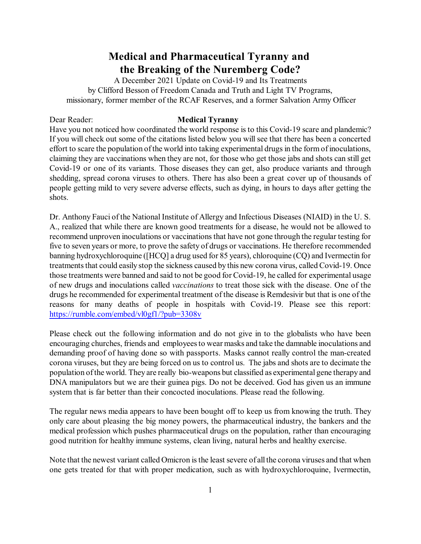# **Medical and Pharmaceutical Tyranny and the Breaking of the Nuremberg Code?**

A December 2021 Update on Covid-19 and Its Treatments by Clifford Besson of Freedom Canada and Truth and Light TV Programs, missionary, former member of the RCAF Reserves, and a former Salvation Army Officer

#### Dear Reader: **Medical Tyranny**

Have you not noticed how coordinated the world response is to this Covid-19 scare and plandemic? If you will check out some of the citations listed below you will see that there has been a concerted effort to scare the population of the world into taking experimental drugs in the form of inoculations, claiming they are vaccinations when they are not, for those who get those jabs and shots can still get Covid-19 or one of its variants. Those diseases they can get, also produce variants and through shedding, spread corona viruses to others. There has also been a great cover up of thousands of people getting mild to very severe adverse effects, such as dying, in hours to days after getting the shots.

Dr. Anthony Fauci of the National Institute of Allergy and Infectious Diseases (NIAID) in the U. S. A., realized that while there are known good treatments for a disease, he would not be allowed to recommend unproven inoculations or vaccinations that have not gone through the regular testing for five to seven years or more, to prove the safety of drugs or vaccinations. He therefore recommended banning hydroxychloroquine ([HCQ] a drug used for 85 years), chloroquine (CQ) and Ivermectin for treatments that could easily stop the sickness caused by this new corona virus, called Covid-19. Once those treatments were banned and said to not be good for Covid-19, he called for experimental usage of new drugs and inoculations called *vaccinations* to treat those sick with the disease. One of the drugs he recommended for experimental treatment of the disease is Remdesivir but that is one of the reasons for many deaths of people in hospitals with Covid-19. Please see this report: <https://rumble.com/embed/vl0gf1/?pub=3308v>

Please check out the following information and do not give in to the globalists who have been encouraging churches, friends and employeesto wear masks and take the damnable inoculations and demanding proof of having done so with passports. Masks cannot really control the man-created corona viruses, but they are being forced on us to control us. The jabs and shots are to decimate the population ofthe world. They are really bio-weapons but classified as experimental gene therapy and DNA manipulators but we are their guinea pigs. Do not be deceived. God has given us an immune system that is far better than their concocted inoculations. Please read the following.

The regular news media appears to have been bought off to keep us from knowing the truth. They only care about pleasing the big money powers, the pharmaceutical industry, the bankers and the medical profession which pushes pharmaceutical drugs on the population, rather than encouraging good nutrition for healthy immune systems, clean living, natural herbs and healthy exercise.

Note that the newest variant called Omicron is the least severe of all the corona viruses and that when one gets treated for that with proper medication, such as with hydroxychloroquine, Ivermectin,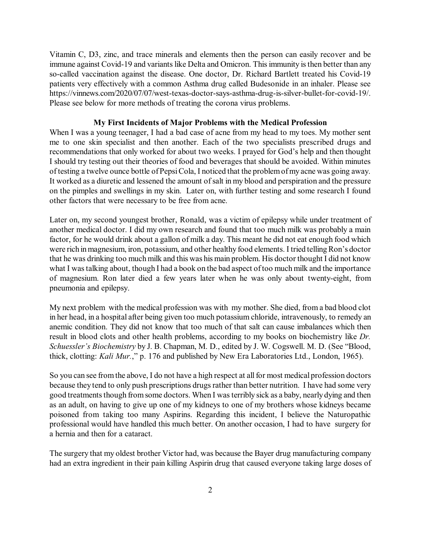Vitamin C, D3, zinc, and trace minerals and elements then the person can easily recover and be immune against Covid-19 and variants like Delta and Omicron. This immunity is then better than any so-called vaccination against the disease. One doctor, Dr. Richard Bartlett treated his Covid-19 patients very effectively with a common Asthma drug called Budesonide in an inhaler. Please see https://vinnews.com/2020/07/07/west-texas-doctor-says-asthma-drug-is-silver-bullet-for-covid-19/. Please see below for more methods of treating the corona virus problems.

#### **My First Incidents of Major Problems with the Medical Profession**

When I was a young teenager, I had a bad case of acne from my head to my toes. My mother sent me to one skin specialist and then another. Each of the two specialists prescribed drugs and recommendations that only worked for about two weeks. I prayed for God's help and then thought I should try testing out their theories of food and beverages that should be avoided. Within minutes of testing a twelve ounce bottle of PepsiCola, I noticed that the problemofmy acne was going away. It worked as a diuretic and lessened the amount of salt in my blood and perspiration and the pressure on the pimples and swellings in my skin. Later on, with further testing and some research I found other factors that were necessary to be free from acne.

Later on, my second youngest brother, Ronald, was a victim of epilepsy while under treatment of another medical doctor. I did my own research and found that too much milk was probably a main factor, for he would drink about a gallon of milk a day. This meant he did not eat enough food which were rich inmagnesium, iron, potassium, and other healthy food elements. I tried telling Ron's doctor that he was drinking too much milk and this was his main problem. His doctor thought I did not know what I was talking about, though I had a book on the bad aspect of too much milk and the importance of magnesium. Ron later died a few years later when he was only about twenty-eight, from pneumonia and epilepsy.

My next problem with the medical profession was with my mother. She died, from a bad blood clot in her head, in a hospital after being given too much potassium chloride, intravenously, to remedy an anemic condition. They did not know that too much of that salt can cause imbalances which then result in blood clots and other health problems, according to my books on biochemistry like *Dr. Schuessler's Biochemistry* by J. B. Chapman, M. D., edited by J. W. Cogswell. M. D. (See "Blood, thick, clotting: *Kali Mur.*," p. 176 and published by New Era Laboratories Ltd., London, 1965).

So you can see from the above, I do not have a high respect at all for most medical profession doctors because they tend to only push prescriptions drugs rather than better nutrition. I have had some very good treatments though from some doctors. When I was terribly sick as a baby, nearly dying and then as an adult, on having to give up one of my kidneys to one of my brothers whose kidneys became poisoned from taking too many Aspirins. Regarding this incident, I believe the Naturopathic professional would have handled this much better. On another occasion, I had to have surgery for a hernia and then for a cataract.

The surgery that my oldest brother Victor had, was because the Bayer drug manufacturing company had an extra ingredient in their pain killing Aspirin drug that caused everyone taking large doses of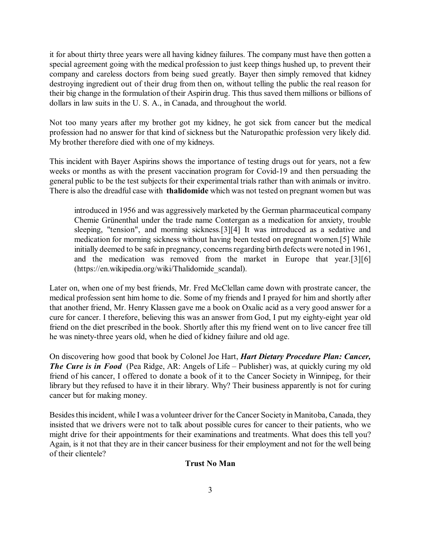it for about thirty three years were all having kidney failures. The company must have then gotten a special agreement going with the medical profession to just keep things hushed up, to prevent their company and careless doctors from being sued greatly. Bayer then simply removed that kidney destroying ingredient out of their drug from then on, without telling the public the real reason for their big change in the formulation of their Aspirin drug. This thus saved them millions or billions of dollars in law suits in the U. S. A., in Canada, and throughout the world.

Not too many years after my brother got my kidney, he got sick from cancer but the medical profession had no answer for that kind of sickness but the Naturopathic profession very likely did. My brother therefore died with one of my kidneys.

This incident with Bayer Aspirins shows the importance of testing drugs out for years, not a few weeks or months as with the present vaccination program for Covid-19 and then persuading the general public to be the test subjects for their experimental trials rather than with animals or invitro. There is also the dreadful case with **thalidomide** which was not tested on pregnant women but was

introduced in 1956 and was aggressively marketed by the German pharmaceutical company Chemie Grünenthal under the trade name Contergan as a medication for anxiety, trouble sleeping, "tension", and morning sickness.[3][4] It was introduced as a sedative and medication for morning sickness without having been tested on pregnant women.[5] While initially deemed to be safe in pregnancy, concerns regarding birth defects were noted in 1961, and the medication was removed from the market in Europe that year.[3][6] (https://en.wikipedia.org/wiki/Thalidomide scandal).

Later on, when one of my best friends, Mr. Fred McClellan came down with prostrate cancer, the medical profession sent him home to die. Some of my friends and I prayed for him and shortly after that another friend, Mr. Henry Klassen gave me a book on Oxalic acid as a very good answer for a cure for cancer. I therefore, believing this was an answer from God, I put my eighty-eight year old friend on the diet prescribed in the book. Shortly after this my friend went on to live cancer free till he was ninety-three years old, when he died of kidney failure and old age.

On discovering how good that book by Colonel Joe Hart, *Hart Dietary Procedure Plan: Cancer, The Cure is in Food* (Pea Ridge, AR: Angels of Life – Publisher) was, at quickly curing my old friend of his cancer, I offered to donate a book of it to the Cancer Society in Winnipeg, for their library but they refused to have it in their library. Why? Their business apparently is not for curing cancer but for making money.

Besidesthisincident, while I was a volunteer driver for the Cancer Society in Manitoba, Canada, they insisted that we drivers were not to talk about possible cures for cancer to their patients, who we might drive for their appointments for their examinations and treatments. What does this tell you? Again, is it not that they are in their cancer business for their employment and not for the well being of their clientele?

### **Trust No Man**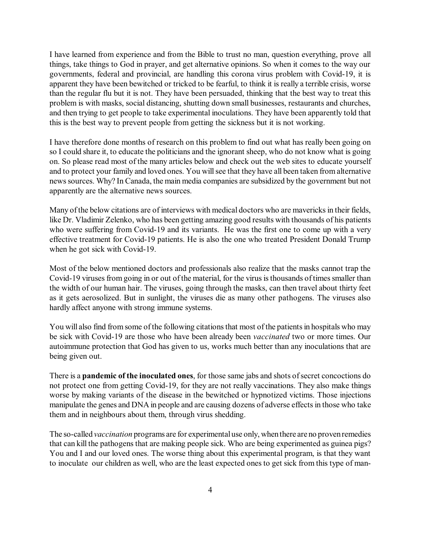I have learned from experience and from the Bible to trust no man, question everything, prove all things, take things to God in prayer, and get alternative opinions. So when it comes to the way our governments, federal and provincial, are handling this corona virus problem with Covid-19, it is apparent they have been bewitched or tricked to be fearful, to think it is really a terrible crisis, worse than the regular flu but it is not. They have been persuaded, thinking that the best way to treat this problem is with masks, social distancing, shutting down small businesses, restaurants and churches, and then trying to get people to take experimental inoculations. They have been apparently told that this is the best way to prevent people from getting the sickness but it is not working.

I have therefore done months of research on this problem to find out what has really been going on so I could share it, to educate the politicians and the ignorant sheep, who do not know what is going on. So please read most of the many articles below and check out the web sites to educate yourself and to protect your family and loved ones. You will see that they have all been taken from alternative newssources. Why? In Canada, the main media companies are subsidized by the government but not apparently are the alternative news sources.

Many of the below citations are of interviews with medical doctors who are mavericks in their fields, like Dr. Vladimir Zelenko, who has been getting amazing good results with thousands of his patients who were suffering from Covid-19 and its variants. He was the first one to come up with a very effective treatment for Covid-19 patients. He is also the one who treated President Donald Trump when he got sick with Covid-19.

Most of the below mentioned doctors and professionals also realize that the masks cannot trap the Covid-19 viruses from going in or out of the material, for the virus is thousands of times smaller than the width of our human hair. The viruses, going through the masks, can then travel about thirty feet as it gets aerosolized. But in sunlight, the viruses die as many other pathogens. The viruses also hardly affect anyone with strong immune systems.

You will also find from some of the following citations that most of the patients in hospitals who may be sick with Covid-19 are those who have been already been *vaccinated* two or more times. Our autoimmune protection that God has given to us, works much better than any inoculations that are being given out.

There is a **pandemic of the inoculated ones**, for those same jabs and shots ofsecret concoctions do not protect one from getting Covid-19, for they are not really vaccinations. They also make things worse by making variants of the disease in the bewitched or hypnotized victims. Those injections manipulate the genes and DNA in people and are causing dozens of adverse effects in those who take them and in neighbours about them, through virus shedding.

The so-called *vaccination* programs are for experimentaluse only, whenthere are no provenremedies that can kill the pathogens that are making people sick. Who are being experimented as guinea pigs? You and I and our loved ones. The worse thing about this experimental program, is that they want to inoculate our children as well, who are the least expected ones to get sick from this type of man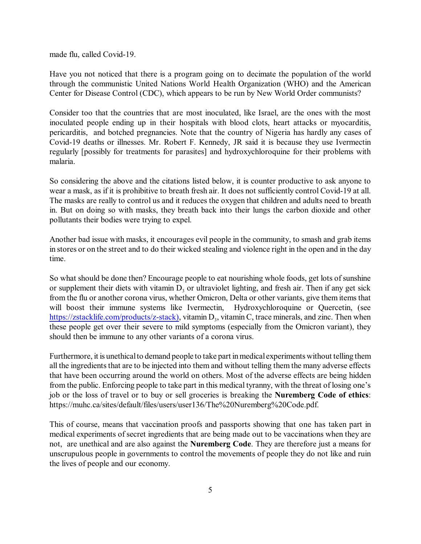made flu, called Covid-19.

Have you not noticed that there is a program going on to decimate the population of the world through the communistic United Nations World Health Organization (WHO) and the American Center for Disease Control (CDC), which appears to be run by New World Order communists?

Consider too that the countries that are most inoculated, like Israel, are the ones with the most inoculated people ending up in their hospitals with blood clots, heart attacks or myocarditis, pericarditis, and botched pregnancies. Note that the country of Nigeria has hardly any cases of Covid-19 deaths or illnesses. Mr. Robert F. Kennedy, JR said it is because they use Ivermectin regularly [possibly for treatments for parasites] and hydroxychloroquine for their problems with malaria.

So considering the above and the citations listed below, it is counter productive to ask anyone to wear a mask, as if it is prohibitive to breath fresh air. It does not sufficiently control Covid-19 at all. The masks are really to control us and it reduces the oxygen that children and adults need to breath in. But on doing so with masks, they breath back into their lungs the carbon dioxide and other pollutants their bodies were trying to expel.

Another bad issue with masks, it encourages evil people in the community, to smash and grab items in stores or on the street and to do their wicked stealing and violence right in the open and in the day time.

So what should be done then? Encourage people to eat nourishing whole foods, get lots of sunshine or supplement their diets with vitamin  $D_3$  or ultraviolet lighting, and fresh air. Then if any get sick from the flu or another corona virus, whether Omicron, Delta or other variants, give them items that will boost their immune systems like Ivermectin, Hydroxychloroquine or Quercetin, (see [https://zstacklife.com/products/z-stack\)](https://zstacklife.com/products/z-stack)), vitamin D<sub>3</sub>, vitamin C, trace minerals, and zinc. Then when these people get over their severe to mild symptoms (especially from the Omicron variant), they should then be immune to any other variants of a corona virus.

Furthermore, it is unethical to demand people to take part in medical experiments without telling them all the ingredients that are to be injected into them and without telling them the many adverse effects that have been occurring around the world on others. Most of the adverse effects are being hidden from the public. Enforcing people to take part in this medical tyranny, with the threat of losing one's job or the loss of travel or to buy or sell groceries is breaking the **Nuremberg Code of ethics**: https://muhc.ca/sites/default/files/users/user136/The%20Nuremberg%20Code.pdf.

This of course, means that vaccination proofs and passports showing that one has taken part in medical experiments of secret ingredients that are being made out to be vaccinations when they are not, are unethical and are also against the **Nuremberg Code**. They are therefore just a means for unscrupulous people in governments to control the movements of people they do not like and ruin the lives of people and our economy.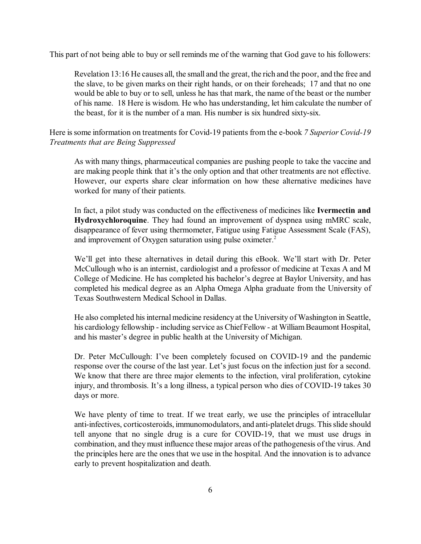This part of not being able to buy or sell reminds me of the warning that God gave to his followers:

Revelation 13:16 He causes all, the small and the great, the rich and the poor, and the free and the slave, to be given marks on their right hands, or on their foreheads; 17 and that no one would be able to buy or to sell, unless he has that mark, the name of the beast or the number of his name. 18 Here is wisdom. He who has understanding, let him calculate the number of the beast, for it is the number of a man. His number is six hundred sixty-six.

Here issome information on treatments for Covid-19 patients from the e-book *7 Superior Covid-19 Treatments that are Being Suppressed* 

As with many things, pharmaceutical companies are pushing people to take the vaccine and are making people think that it's the only option and that other treatments are not effective. However, our experts share clear information on how these alternative medicines have worked for many of their patients.

In fact, a pilot study was conducted on the effectiveness of medicines like **Ivermectin and Hydroxychloroquine**. They had found an improvement of dyspnea using mMRC scale, disappearance of fever using thermometer, Fatigue using Fatigue Assessment Scale (FAS), and improvement of Oxygen saturation using pulse oximeter.<sup>2</sup>

We'll get into these alternatives in detail during this eBook. We'll start with Dr. Peter McCullough who is an internist, cardiologist and a professor of medicine at Texas A and M College of Medicine. He has completed his bachelor's degree at Baylor University, and has completed his medical degree as an Alpha Omega Alpha graduate from the University of Texas Southwestern Medical School in Dallas.

He also completed his internal medicine residency at the University of Washington in Seattle, his cardiology fellowship - including service as Chief Fellow - at William Beaumont Hospital, and his master's degree in public health at the University of Michigan.

Dr. Peter McCullough: I've been completely focused on COVID-19 and the pandemic response over the course of the last year. Let's just focus on the infection just for a second. We know that there are three major elements to the infection, viral proliferation, cytokine injury, and thrombosis. It's a long illness, a typical person who dies of COVID-19 takes 30 days or more.

We have plenty of time to treat. If we treat early, we use the principles of intracellular anti-infectives, corticosteroids, immunomodulators, and anti-platelet drugs. This slide should tell anyone that no single drug is a cure for COVID-19, that we must use drugs in combination, and they must influence these major areas of the pathogenesis ofthe virus. And the principles here are the ones that we use in the hospital. And the innovation is to advance early to prevent hospitalization and death.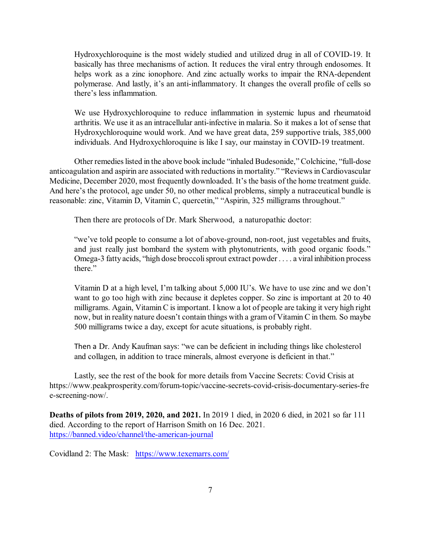Hydroxychloroquine is the most widely studied and utilized drug in all of COVID-19. It basically has three mechanisms of action. It reduces the viral entry through endosomes. It helps work as a zinc ionophore. And zinc actually works to impair the RNA-dependent polymerase. And lastly, it's an anti-inflammatory. It changes the overall profile of cells so there's less inflammation.

We use Hydroxychloroquine to reduce inflammation in systemic lupus and rheumatoid arthritis. We use it as an intracellular anti-infective in malaria. So it makes a lot of sense that Hydroxychloroquine would work. And we have great data, 259 supportive trials, 385,000 individuals. And Hydroxychloroquine is like I say, our mainstay in COVID-19 treatment.

Other remedieslisted in the above book include "inhaled Budesonide," Colchicine, "full-dose anticoagulation and aspirin are associated with reductions in mortality." "Reviews in Cardiovascular Medicine, December 2020, most frequently downloaded. It's the basis of the home treatment guide. And here's the protocol, age under 50, no other medical problems, simply a nutraceutical bundle is reasonable: zinc, Vitamin D, Vitamin C, quercetin," "Aspirin, 325 milligrams throughout."

Then there are protocols of Dr. Mark Sherwood, a naturopathic doctor:

"we've told people to consume a lot of above-ground, non-root, just vegetables and fruits, and just really just bombard the system with phytonutrients, with good organic foods." Omega-3 fatty acids, "high dose broccolis prout extract powder . . . . a viral inhibition process there."

Vitamin D at a high level, I'm talking about 5,000 IU's. We have to use zinc and we don't want to go too high with zinc because it depletes copper. So zinc is important at 20 to 40 milligrams. Again, Vitamin C is important. I know a lot of people are taking it very high right now, but in reality nature doesn't contain things with a gram of Vitamin C in them. So maybe 500 milligrams twice a day, except for acute situations, is probably right.

Then a Dr. Andy Kaufman says: "we can be deficient in including things like cholesterol and collagen, in addition to trace minerals, almost everyone is deficient in that."

Lastly, see the rest of the book for more details from Vaccine Secrets: Covid Crisis at https://www.peakprosperity.com/forum-topic/vaccine-secrets-covid-crisis-documentary-series-fre e-screening-now/.

**Deaths of pilots from 2019, 2020, and 2021.** In 2019 1 died, in 2020 6 died, in 2021 so far 111 died. According to the report of Harrison Smith on 16 Dec. 2021. <https://banned.video/channel/the-american-journal>

Covidland 2: The Mask: <https://www.texemarrs.com/>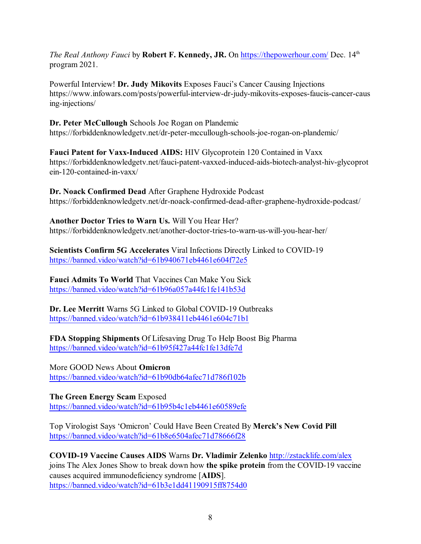*The Real Anthony Fauci* by **Robert F. Kennedy, JR.** On <https://thepowerhour.com/> Dec. 14<sup>th</sup> program 2021.

Powerful Interview! **Dr. Judy Mikovits** Exposes Fauci's Cancer Causing Injections https://www.infowars.com/posts/powerful-interview-dr-judy-mikovits-exposes-faucis-cancer-caus ing-injections/

**Dr. Peter McCullough** Schools Joe Rogan on Plandemic https://forbiddenknowledgetv.net/dr-peter-mccullough-schools-joe-rogan-on-plandemic/

**Fauci Patent for Vaxx-Induced AIDS:** HIV Glycoprotein 120 Contained in Vaxx https://forbiddenknowledgetv.net/fauci-patent-vaxxed-induced-aids-biotech-analyst-hiv-glycoprot ein-120-contained-in-vaxx/

**Dr. Noack Confirmed Dead** After Graphene Hydroxide Podcast https://forbiddenknowledgetv.net/dr-noack-confirmed-dead-after-graphene-hydroxide-podcast/

**Another Doctor Tries to Warn Us.** Will You Hear Her? https://forbiddenknowledgetv.net/another-doctor-tries-to-warn-us-will-you-hear-her/

**Scientists Confirm 5G Accelerates** Viral Infections Directly Linked to COVID-19 <https://banned.video/watch?id=61b940671eb4461e604f72e5>

**Fauci Admits To World** That Vaccines Can Make You Sick <https://banned.video/watch?id=61b96a057a44fc1fe141b53d>

**Dr. Lee Merritt** Warns 5G Linked to Global COVID-19 Outbreaks <https://banned.video/watch?id=61b938411eb4461e604c71b1>

**FDA Stopping Shipments** Of Lifesaving Drug To Help Boost Big Pharma <https://banned.video/watch?id=61b95f427a44fc1fe13dfe7d>

More GOOD News About **Omicron** <https://banned.video/watch?id=61b90db64afec71d786f102b>

**The Green Energy Scam** Exposed <https://banned.video/watch?id=61b95b4c1eb4461e60589efe>

Top Virologist Says 'Omicron' Could Have Been Created By **Merck's New Covid Pill** <https://banned.video/watch?id=61b8e6504afec71d78666f28>

**COVID-19 Vaccine Causes AIDS** Warns **Dr. Vladimir Zelenko** <http://zstacklife.com/alex> joins The Alex Jones Show to break down how **the spike protein** from the COVID-19 vaccine causes acquired immunodeficiency syndrome [**AIDS**]. <https://banned.video/watch?id=61b3e1dd41190915ff8754d0>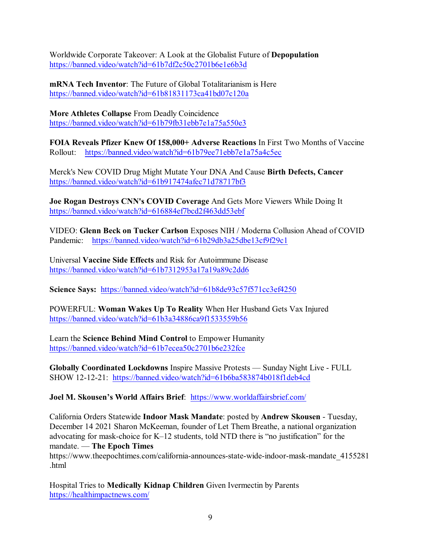Worldwide Corporate Takeover: A Look at the Globalist Future of **Depopulation** <https://banned.video/watch?id=61b7df2c50c2701b6e1e6b3d>

**mRNA Tech Inventor**: The Future of Global Totalitarianism is Here <https://banned.video/watch?id=61b81831173ca41bd07c120a>

**More Athletes Collapse** From Deadly Coincidence <https://banned.video/watch?id=61b79fb31ebb7e1a75a550e3>

**FOIA Reveals Pfizer Knew Of 158,000+ Adverse Reactions** In First Two Months of Vaccine Rollout: <https://banned.video/watch?id=61b79ee71ebb7e1a75a4c5ec>

Merck's New COVID Drug Might Mutate Your DNA And Cause **Birth Defects, Cancer** <https://banned.video/watch?id=61b917474afec71d78717bf3>

**Joe Rogan Destroys CNN's COVID Coverage** And Gets More Viewers While Doing It <https://banned.video/watch?id=616884ef7bcd2f463dd53ebf>

VIDEO: **Glenn Beck on Tucker Carlson** Exposes NIH / Moderna Collusion Ahead of COVID Pandemic: <https://banned.video/watch?id=61b29db3a25dbe13cf9f29c1>

Universal **Vaccine Side Effects** and Risk for Autoimmune Disease <https://banned.video/watch?id=61b7312953a17a19a89c2dd6>

**Science Says:** <https://banned.video/watch?id=61b8de93c57f571cc3ef4250>

POWERFUL: **Woman Wakes Up To Reality** When Her Husband Gets Vax Injured <https://banned.video/watch?id=61b3a34886ca9f1533559b56>

Learn the **Science Behind Mind Control** to Empower Humanity <https://banned.video/watch?id=61b7ecea50c2701b6e232fce>

**Globally Coordinated Lockdowns** Inspire Massive Protests — Sunday Night Live - FULL SHOW 12-12-21: <https://banned.video/watch?id=61b6ba583874b018f1deb4cd>

**Joel M. Skousen's World Affairs Brief**: <https://www.worldaffairsbrief.com/>

California Orders Statewide **Indoor Mask Mandate**: posted by **Andrew Skousen** - Tuesday, December 14 2021 Sharon McKeeman, founder of Let Them Breathe, a national organization advocating for mask-choice for K–12 students, told NTD there is "no justification" for the mandate. — **The Epoch Times**

https://www.theepochtimes.com/california-announces-state-wide-indoor-mask-mandate\_4155281 .html

Hospital Tries to **Medically Kidnap Children** Given Ivermectin by Parents <https://healthimpactnews.com/>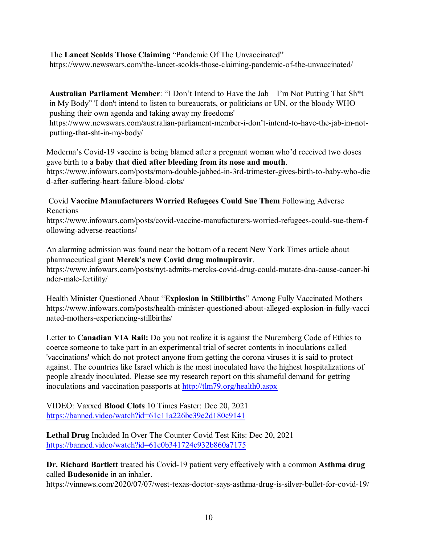The **Lancet Scolds Those Claiming** "Pandemic Of The Unvaccinated" https://www.newswars.com/the-lancet-scolds-those-claiming-pandemic-of-the-unvaccinated/

**Australian Parliament Member**: "I Don't Intend to Have the Jab – I'm Not Putting That Sh\*t in My Body" 'I don't intend to listen to bureaucrats, or politicians or UN, or the bloody WHO pushing their own agenda and taking away my freedoms' https://www.newswars.com/australian-parliament-member-i-don't-intend-to-have-the-jab-im-not-

putting-that-sht-in-my-body/

Moderna's Covid-19 vaccine is being blamed after a pregnant woman who'd received two doses gave birth to a **baby that died after bleeding from its nose and mouth**.

https://www.infowars.com/posts/mom-double-jabbed-in-3rd-trimester-gives-birth-to-baby-who-die d-after-suffering-heart-failure-blood-clots/

Covid **Vaccine Manufacturers Worried Refugees Could Sue Them** Following Adverse Reactions

https://www.infowars.com/posts/covid-vaccine-manufacturers-worried-refugees-could-sue-them-f ollowing-adverse-reactions/

An alarming admission was found near the bottom of a recent New York Times article about pharmaceutical giant **Merck's new Covid drug molnupiravir**. https://www.infowars.com/posts/nyt-admits-mercks-covid-drug-could-mutate-dna-cause-cancer-hi nder-male-fertility/

Health Minister Questioned About "**Explosion in Stillbirths**" Among Fully Vaccinated Mothers https://www.infowars.com/posts/health-minister-questioned-about-alleged-explosion-in-fully-vacci nated-mothers-experiencing-stillbirths/

Letter to **Canadian VIA Rail:** Do you not realize it is against the Nuremberg Code of Ethics to coerce someone to take part in an experimental trial of secret contents in inoculations called 'vaccinations' which do not protect anyone from getting the corona viruses it is said to protect against. The countries like Israel which is the most inoculated have the highest hospitalizations of people already inoculated. Please see my research report on this shameful demand for getting inoculations and vaccination passports at <http://tlm79.org/health0.aspx>

VIDEO: Vaxxed **Blood Clots** 10 Times Faster: Dec 20, 2021 <https://banned.video/watch?id=61c11a226be39e2d180c9141>

**Lethal Drug** Included In Over The Counter Covid Test Kits: Dec 20, 2021 <https://banned.video/watch?id=61c0b341724c932b860a7175>

**Dr. Richard Bartlett** treated his Covid-19 patient very effectively with a common **Asthma drug** called **Budesonide** in an inhaler.

https://vinnews.com/2020/07/07/west-texas-doctor-says-asthma-drug-is-silver-bullet-for-covid-19/